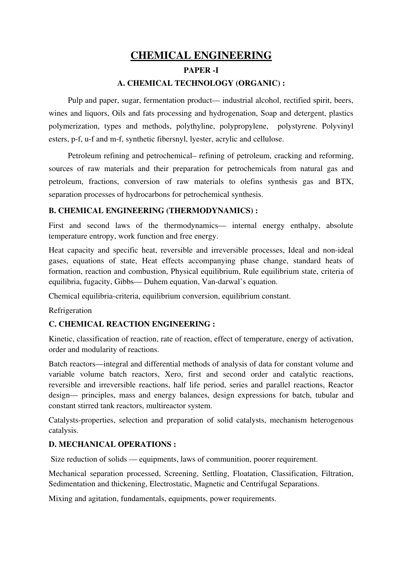# CHEMICAL ENGINEERING PAPER<sub>-I</sub> A. CHEMICAL TECHNOLOGY (ORGANIC) :

Pulp and paper, sugar, fermentation product— industrial alcohol, rectified spirit, beers, wines and liquors, Oils and fats processing and hydrogenation, Soap and detergent, plastics polymerization, types and methods, polythyline, polypropylene, polystyrene. Polyvinyl esters, p-f, u-f and m-f, synthetic fibersnyl, lyester, acrylic and cellulose.

Petroleum refining and petrochemical– refining of petroleum, cracking and reforming, sources of raw materials and their preparation for petrochemicals from natural gas and petroleum, fractions, conversion of raw materials to olefins synthesis gas and BTX, separation processes of hydrocarbons for petrochemical synthesis.

## B. CHEMICAL ENGINEERING (THERMODYNAMICS) :

First and second laws of the thermodynamics— internal energy enthalpy, absolute temperature entropy, work function and free energy.

Heat capacity and specific heat, reversible and irreversible processes, Ideal and non-ideal gases, equations of state, Heat effects accompanying phase change, standard heats of formation, reaction and combustion, Physical equilibrium, Rule equilibrium state, criteria of equilibria, fugacity, Gibbs— Duhem equation, Van-darwal's equation.

Chemical equilibria-criteria, equilibrium conversion, equilibrium constant.

Refrigeration

## C. CHEMICAL REACTION ENGINEERING :

Kinetic, classification of reaction, rate of reaction, effect of temperature, energy of activation, order and modularity of reactions.

Batch reactors—integral and differential methods of analysis of data for constant volume and variable volume batch reactors, Xero, first and second order and catalytic reactions, reversible and irreversible reactions, half life period, series and parallel reactions, Reactor design— principles, mass and energy balances, design expressions for batch, tubular and constant stirred tank reactors, multireactor system.

Catalysts-properties, selection and preparation of solid catalysts, mechanism heterogenous catalysis.

## D. MECHANICAL OPERATIONS :

Size reduction of solids — equipments, laws of communition, poorer requirement.

Mechanical separation processed, Screening, Settling, Floatation, Classification, Filtration, Sedimentation and thickening, Electrostatic, Magnetic and Centrifugal Separations.

Mixing and agitation, fundamentals, equipments, power requirements.